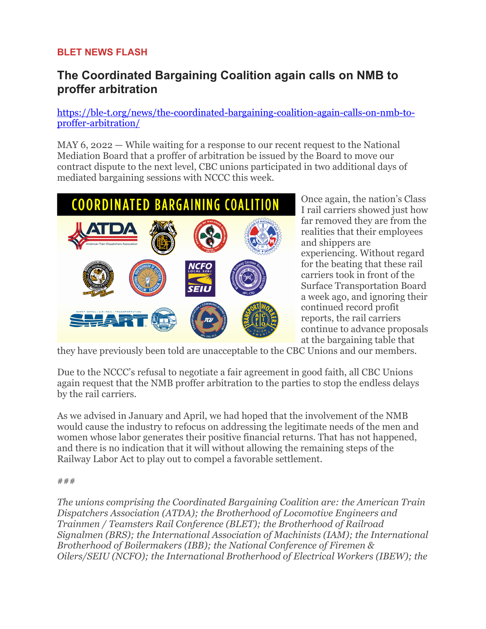## **BLET NEWS FLASH**

## **The Coordinated Bargaining Coalition again calls on NMB to proffer arbitration**

[https://ble-t.org/news/the-coordinated-bargaining-coalition-again-calls-on-nmb-to](https://nam04.safelinks.protection.outlook.com/?url=https%3A%2F%2Fble-t.us11.list-manage.com%2Ftrack%2Fclick%3Fu%3D929f220e744c22f5d55a4f762%26id%3Df12459dc38%26e%3D670aecf32d&data=05%7C01%7Cpierce%40ble-t.org%7C3b22b1a26f544f53357a08da2f61852f%7C9318f2459339432393ac5c224703ec04%7C1%7C0%7C637874393141551215%7CUnknown%7CTWFpbGZsb3d8eyJWIjoiMC4wLjAwMDAiLCJQIjoiV2luMzIiLCJBTiI6Ik1haWwiLCJXVCI6Mn0%3D%7C3000%7C%7C%7C&sdata=4QEdaIQkz8kR%2BwKY92wMBsrVa7t2JUYBGMa6IBBB8fA%3D&reserved=0)[proffer-arbitration/](https://nam04.safelinks.protection.outlook.com/?url=https%3A%2F%2Fble-t.us11.list-manage.com%2Ftrack%2Fclick%3Fu%3D929f220e744c22f5d55a4f762%26id%3Df12459dc38%26e%3D670aecf32d&data=05%7C01%7Cpierce%40ble-t.org%7C3b22b1a26f544f53357a08da2f61852f%7C9318f2459339432393ac5c224703ec04%7C1%7C0%7C637874393141551215%7CUnknown%7CTWFpbGZsb3d8eyJWIjoiMC4wLjAwMDAiLCJQIjoiV2luMzIiLCJBTiI6Ik1haWwiLCJXVCI6Mn0%3D%7C3000%7C%7C%7C&sdata=4QEdaIQkz8kR%2BwKY92wMBsrVa7t2JUYBGMa6IBBB8fA%3D&reserved=0)

MAY 6, 2022 — While waiting for a response to our recent request to the National Mediation Board that a proffer of arbitration be issued by the Board to move our contract dispute to the next level, CBC unions participated in two additional days of mediated bargaining sessions with NCCC this week.



Once again, the nation's Class I rail carriers showed just how far removed they are from the realities that their employees and shippers are experiencing. Without regard for the beating that these rail carriers took in front of the Surface Transportation Board a week ago, and ignoring their continued record profit reports, the rail carriers continue to advance proposals at the bargaining table that

they have previously been told are unacceptable to the CBC Unions and our members.

Due to the NCCC's refusal to negotiate a fair agreement in good faith, all CBC Unions again request that the NMB proffer arbitration to the parties to stop the endless delays by the rail carriers.

As we advised in January and April, we had hoped that the involvement of the NMB would cause the industry to refocus on addressing the legitimate needs of the men and women whose labor generates their positive financial returns. That has not happened, and there is no indication that it will without allowing the remaining steps of the Railway Labor Act to play out to compel a favorable settlement.

## ###

*The unions comprising the Coordinated Bargaining Coalition are: the American Train Dispatchers Association (ATDA); the Brotherhood of Locomotive Engineers and Trainmen / Teamsters Rail Conference (BLET); the Brotherhood of Railroad Signalmen (BRS); the International Association of Machinists (IAM); the International Brotherhood of Boilermakers (IBB); the National Conference of Firemen & Oilers/SEIU (NCFO); the International Brotherhood of Electrical Workers (IBEW); the*